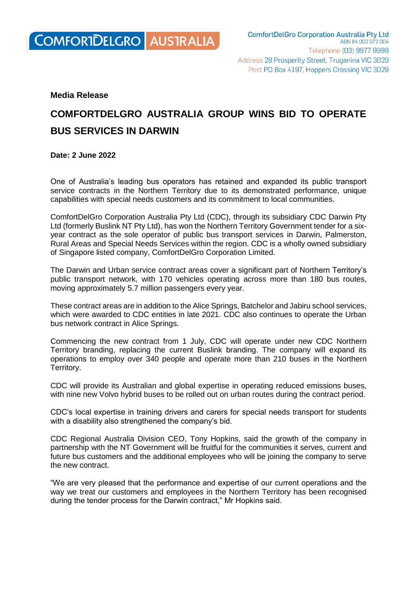

## **Media Release**

## **COMFORTDELGRO AUSTRALIA GROUP WINS BID TO OPERATE BUS SERVICES IN DARWIN**

## **Date: 2 June 2022**

One of Australia's leading bus operators has retained and expanded its public transport service contracts in the Northern Territory due to its demonstrated performance, unique capabilities with special needs customers and its commitment to local communities.

ComfortDelGro Corporation Australia Pty Ltd (CDC), through its subsidiary CDC Darwin Pty Ltd (formerly Buslink NT Pty Ltd), has won the Northern Territory Government tender for a sixyear contract as the sole operator of public bus transport services in Darwin, Palmerston, Rural Areas and Special Needs Services within the region. CDC is a wholly owned subsidiary of Singapore listed company, ComfortDelGro Corporation Limited.

The Darwin and Urban service contract areas cover a significant part of Northern Territory's public transport network, with 170 vehicles operating across more than 180 bus routes, moving approximately 5.7 million passengers every year.

These contract areas are in addition to the Alice Springs, Batchelor and Jabiru school services, which were awarded to CDC entities in late 2021. CDC also continues to operate the Urban bus network contract in Alice Springs.

Commencing the new contract from 1 July, CDC will operate under new CDC Northern Territory branding, replacing the current Buslink branding. The company will expand its operations to employ over 340 people and operate more than 210 buses in the Northern Territory.

CDC will provide its Australian and global expertise in operating reduced emissions buses, with nine new Volvo hybrid buses to be rolled out on urban routes during the contract period.

CDC's local expertise in training drivers and carers for special needs transport for students with a disability also strengthened the company's bid.

CDC Regional Australia Division CEO, Tony Hopkins, said the growth of the company in partnership with the NT Government will be fruitful for the communities it serves, current and future bus customers and the additional employees who will be joining the company to serve the new contract.

"We are very pleased that the performance and expertise of our current operations and the way we treat our customers and employees in the Northern Territory has been recognised during the tender process for the Darwin contract," Mr Hopkins said.